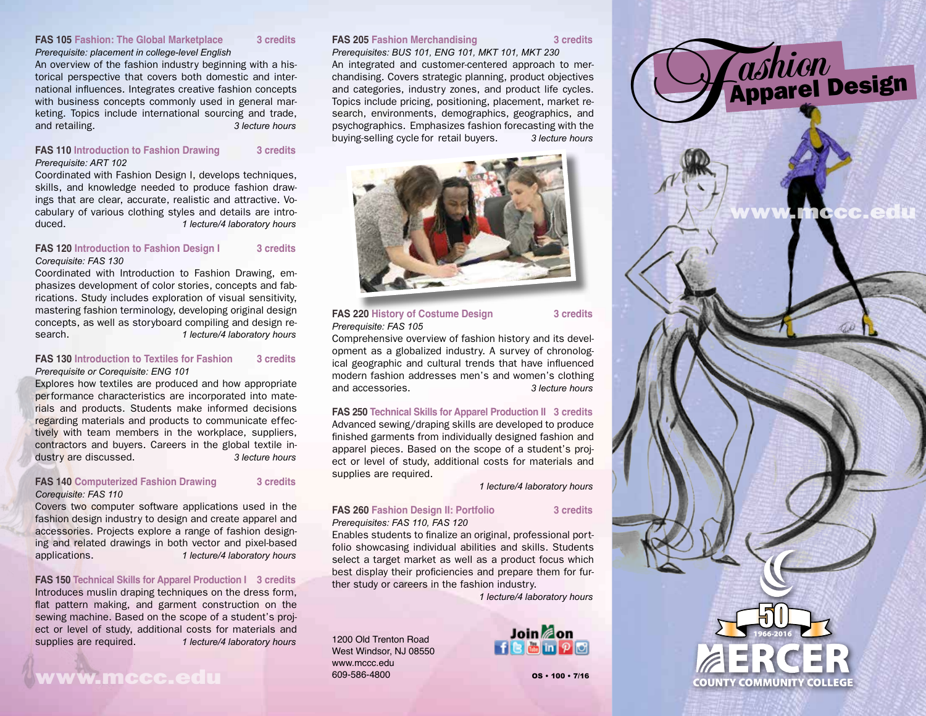### **FAS 105 Fashion: The Global Marketplace 3 credits**

*Prerequisite: placement in college-level English* An overview of the fashion industry beginning with a historical perspective that covers both domestic and international influences. Integrates creative fashion concepts with business concepts commonly used in general marketing. Topics include international sourcing and trade, and retailing. *3 lecture hours*

### **FAS 110 Introduction to Fashion Drawing 3 credits** *Prerequisite: ART 102*

Coordinated with Fashion Design I, develops techniques, skills, and knowledge needed to produce fashion drawings that are clear, accurate, realistic and attractive. Vocabulary of various clothing styles and details are introduced. **1 lecture/4 laboratory hours** 

### **FAS 120 Introduction to Fashion Design I 3 credits** *Corequisite: FAS 130*

Coordinated with Introduction to Fashion Drawing, emphasizes development of color stories, concepts and fabrications. Study includes exploration of visual sensitivity, mastering fashion terminology, developing original design concepts, as well as storyboard compiling and design research. **1 lecture/4 laboratory hours** 

### **FAS 130 Introduction to Textiles for Fashion 3 credits** *Prerequisite or Corequisite: ENG 101*

Explores how textiles are produced and how appropriate performance characteristics are incorporated into materials and products. Students make informed decisions regarding materials and products to communicate effectively with team members in the workplace, suppliers, contractors and buyers. Careers in the global textile industry are discussed. **3 lecture hours** 

### **FAS 140 Computerized Fashion Drawing 3 credits** *Corequisite: FAS 110*

Covers two computer software applications used in the fashion design industry to design and create apparel and accessories. Projects explore a range of fashion designing and related drawings in both vector and pixel-based applications. *1 lecture/4 laboratory hours*

**FAS 150 Technical Skills for Apparel Production I 3 credits** Introduces muslin draping techniques on the dress form, flat pattern making, and garment construction on the sewing machine. Based on the scope of a student's project or level of study, additional costs for materials and ect or level of study, additional costs for materials and<br>supplies are required. *1 lecture/4 laboratory hours* 1200 Old Trenton Road

# www.mccc.edu

### **FAS 205 Fashion Merchandising 3 credits**

*Prerequisites: BUS 101, ENG 101, MKT 101, MKT 230*

An integrated and customer-centered approach to merchandising. Covers strategic planning, product objectives and categories, industry zones, and product life cycles. Topics include pricing, positioning, placement, market research, environments, demographics, geographics, and psychographics. Emphasizes fashion forecasting with the buying-selling cycle for retail buyers. *3 lecture hours*



### **FAS 220 History of Costume Design 3 credits** *Prerequisite: FAS 105*

Comprehensive overview of fashion history and its development as a globalized industry. A survey of chronological geographic and cultural trends that have influenced modern fashion addresses men's and women's clothing and accessories. *3 lecture hours*

### **FAS 250 Technical Skills for Apparel Production II 3 credits**

Advanced sewing/draping skills are developed to produce finished garments from individually designed fashion and apparel pieces. Based on the scope of a student's project or level of study, additional costs for materials and supplies are required.

*1 lecture/4 laboratory hours*

### **FAS 260 Fashion Design II: Portfolio 3 credits** *Prerequisites: FAS 110, FAS 120*

1200 Old Trenton Road West Windsor, NJ 08550 www.mccc.edu 609-586-4800

Enables students to finalize an original, professional portfolio showcasing individual abilities and skills. Students select a target market as well as a product focus which best display their proficiencies and prepare them for further study or careers in the fashion industry.

*1 lecture/4 laboratory hours*



OS • 100 • 7/16